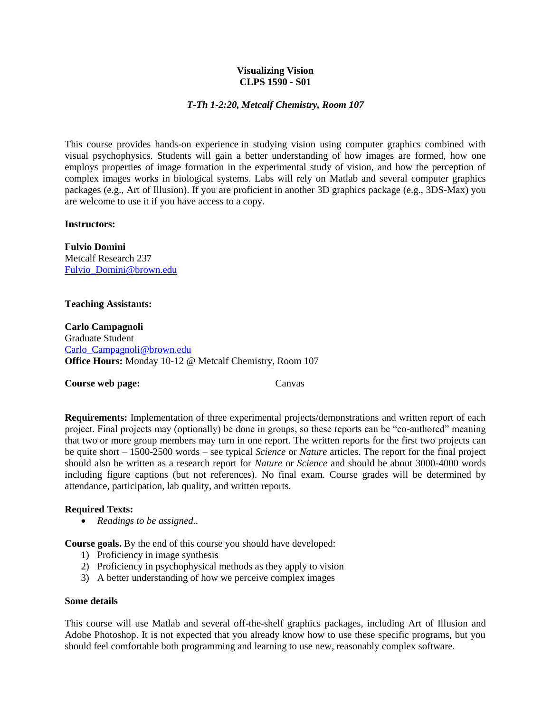### **Visualizing Vision CLPS 1590 - S01**

# *T-Th 1-2:20, Metcalf Chemistry, Room 107*

This course provides hands-on experience in studying vision using computer graphics combined with visual psychophysics. Students will gain a better understanding of how images are formed, how one employs properties of image formation in the experimental study of vision, and how the perception of complex images works in biological systems. Labs will rely on Matlab and several computer graphics packages (e.g., Art of Illusion). If you are proficient in another 3D graphics package (e.g., 3DS-Max) you are welcome to use it if you have access to a copy.

### **Instructors:**

**Fulvio Domini** Metcalf Research 237 [Fulvio\\_Domini@brown.edu](mailto:Fulvio_Domini@brown.edu)

### **Teaching Assistants:**

**Carlo Campagnoli** Graduate Student [Carlo\\_Campagnoli@brown.edu](mailto:Carlo_Campagnoli@brown.edu) **Office Hours:** Monday 10-12 @ Metcalf Chemistry, Room 107

# **Course web page:** Canvas

**Requirements:** Implementation of three experimental projects/demonstrations and written report of each project. Final projects may (optionally) be done in groups, so these reports can be "co-authored" meaning that two or more group members may turn in one report. The written reports for the first two projects can be quite short – 1500-2500 words – see typical *Science* or *Nature* articles. The report for the final project should also be written as a research report for *Nature* or *Science* and should be about 3000-4000 words including figure captions (but not references). No final exam. Course grades will be determined by attendance, participation, lab quality, and written reports.

# **Required Texts:**

*Readings to be assigned.*.

**Course goals.** By the end of this course you should have developed:

- 1) Proficiency in image synthesis
- 2) Proficiency in psychophysical methods as they apply to vision
- 3) A better understanding of how we perceive complex images

#### **Some details**

This course will use Matlab and several off-the-shelf graphics packages, including Art of Illusion and Adobe Photoshop. It is not expected that you already know how to use these specific programs, but you should feel comfortable both programming and learning to use new, reasonably complex software.